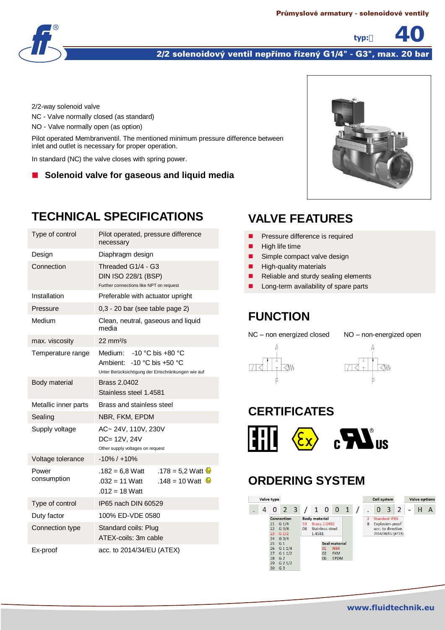

#### 2/2 solenoidový ventil nepřímo řízený G1/4" - G3", max. 20 bar

2/2-way solenoid valve

NC - Valve normally closed (as standard)

NO - Valve normally open (as option)

Pilot operated Membranventil. The mentioned minimum pressure difference between inlet and outlet is necessary for proper operation.

In standard (NC) the valve closes with spring power.

■ Solenoid valve for gaseous and liquid media



**typ:** 40

## **TECHNICAL SPECIFICATIONS**

| Type of control      | Pilot operated, pressure difference<br>necessary                                                                            |  |  |  |  |
|----------------------|-----------------------------------------------------------------------------------------------------------------------------|--|--|--|--|
| Design               | Diaphragm design                                                                                                            |  |  |  |  |
| Connection           | Threaded G1/4 - G3<br>DIN ISO 228/1 (BSP)<br>Further connections like NPT on request                                        |  |  |  |  |
| Installation         | Preferable with actuator upright                                                                                            |  |  |  |  |
| Pressure             | 0,3 - 20 bar (see table page 2)                                                                                             |  |  |  |  |
| Medium               | Clean, neutral, gaseous and liquid<br>media                                                                                 |  |  |  |  |
| max. viscosity       | $22 \text{ mm}^2\text{/s}$                                                                                                  |  |  |  |  |
| Temperature range    | Medium: $-10$ °C bis $+80$ °C<br>Ambient: $-10$ °C bis $+50$ °C<br>Unter Berücksichtigung der Einschränkungen wie auf       |  |  |  |  |
| Body material        | Brass 2.0402<br>Stainless steel 1.4581                                                                                      |  |  |  |  |
| Metallic inner parts | Brass and stainless steel                                                                                                   |  |  |  |  |
| Sealing              | NBR, FKM, EPDM                                                                                                              |  |  |  |  |
| Supply voltage       | AC~24V, 110V, 230V<br>DC= 12V, 24V<br>Other supply voltages on request                                                      |  |  |  |  |
| Voltage tolerance    | $-10\% / +10\%$                                                                                                             |  |  |  |  |
| Power<br>consumption | $.182 = 6.8$ Watt<br>.178 = 5,2 Watt $\circledast$<br>.148 = 10 Watt $\circledcirc$<br>$.032 = 11$ Watt<br>$.012 = 18$ Watt |  |  |  |  |
| Type of control      | IP65 nach DIN 60529                                                                                                         |  |  |  |  |
| Duty factor          | 100% ED-VDE 0580                                                                                                            |  |  |  |  |
| Connection type      | Standard coils: Plug<br>ATEX-coils: 3m cable                                                                                |  |  |  |  |
| Ex-proof             | acc. to 2014/34/EU (ATEX)                                                                                                   |  |  |  |  |

# **VALVE FEATURES**

- **Pressure difference is required**
- $\blacksquare$  High life time
- Simple compact valve design
- $\blacksquare$  High-quality materials
- Reliable and sturdy sealing elements
- Long-term availability of spare parts

### **FUNCTION**

NC – non energized closed NO – non-energized open





# **CERTIFICATES**



## **ORDERING SYSTEM**

| Valve type |                                                          |                                                                                                                                                                              |          |                                                   |                                                               |                                         |              |                     | Coil system |                                                                                          |                          | <b>Valve options</b> |  |
|------------|----------------------------------------------------------|------------------------------------------------------------------------------------------------------------------------------------------------------------------------------|----------|---------------------------------------------------|---------------------------------------------------------------|-----------------------------------------|--------------|---------------------|-------------|------------------------------------------------------------------------------------------|--------------------------|----------------------|--|
|            | 0                                                        | 2 <sub>3</sub>                                                                                                                                                               |          | 1 0 0                                             |                                                               |                                         | $\mathbf{1}$ |                     | $\bf{0}$    | 3 <sup>2</sup>                                                                           | $\overline{\phantom{0}}$ |                      |  |
|            | 21<br>22<br>23<br>24<br>25<br>26<br>27<br>28<br>29<br>30 | <b>Connection</b><br>$G_1/4$<br>G <sub>3/8</sub><br>$G_1/2$<br>G <sub>3/4</sub><br>G <sub>1</sub><br>$G$ 1 1/4<br>$G$ 1 1/2<br>G <sub>2</sub><br>$G$ 2 1/2<br>G <sub>3</sub> | 10<br>08 | <b>Body material</b><br>Stainless steel<br>1.4581 | <b>Brass 2,0402</b><br><b>Seal material</b><br>01<br>02<br>06 | <b>NBR</b><br><b>FKM</b><br><b>EPDM</b> |              | $\overline{2}$<br>8 |             | <b>Standard IP65</b><br><b>Explosion-proof</b><br>acc. to directive<br>2014/34/EU (ATEX) |                          |                      |  |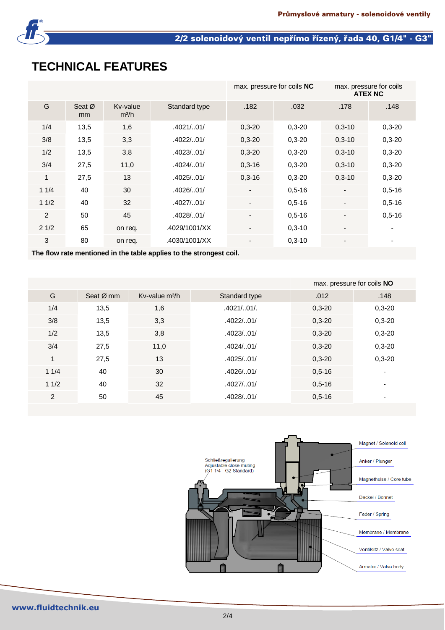

## 2/2 solenoidový ventil nepřímo řízený, řada 40, G1/4" - G3"

# **TECHNICAL FEATURES**

|      |              |                               |               | max. pressure for coils NC |            | max. pressure for coils<br><b>ATEX NC</b> |            |
|------|--------------|-------------------------------|---------------|----------------------------|------------|-------------------------------------------|------------|
| G    | Seat Ø<br>mm | Kv-value<br>m <sup>3</sup> /h | Standard type | .182                       | .032       | .178                                      | .148       |
| 1/4  | 13,5         | 1,6                           | .4021/0.01/   | $0,3 - 20$                 | $0,3-20$   | $0,3-10$                                  | $0,3-20$   |
| 3/8  | 13,5         | 3,3                           | .4022/01/     | $0,3 - 20$                 | $0,3 - 20$ | $0,3-10$                                  | $0,3-20$   |
| 1/2  | 13,5         | 3,8                           | .4023/0.01/   | $0,3 - 20$                 | $0,3-20$   | $0,3-10$                                  | $0,3-20$   |
| 3/4  | 27,5         | 11,0                          | .4024/0.01/   | $0,3-16$                   | $0,3 - 20$ | $0,3-10$                                  | $0,3 - 20$ |
| 1    | 27,5         | 13                            | .4025/01/     | $0,3-16$                   | $0,3-20$   | $0,3-10$                                  | $0,3 - 20$ |
| 11/4 | 40           | 30                            | .4026/01/     |                            | $0,5-16$   |                                           | $0.5 - 16$ |
| 11/2 | 40           | 32                            | .4027/01/     | $\overline{\phantom{a}}$   | $0.5 - 16$ |                                           | $0.5 - 16$ |
| 2    | 50           | 45                            | .4028/01/     | $\blacksquare$             | $0,5-16$   |                                           | $0,5-16$   |
| 21/2 | 65           | on req.                       | .4029/1001/XX |                            | $0,3-10$   |                                           |            |
| 3    | 80           | on req.                       | .4030/1001/XX |                            | $0,3-10$   |                                           |            |

**The flow rate mentioned in the table applies to the strongest coil.**

|      |           | max. pressure for coils NO |               |          |                          |
|------|-----------|----------------------------|---------------|----------|--------------------------|
| G    | Seat Ø mm | Kv-value $m^3/h$           | Standard type | .012     | .148                     |
| 1/4  | 13,5      | 1,6                        | .4021/0.01/   | $0,3-20$ | $0,3-20$                 |
| 3/8  | 13,5      | 3,3                        | .4022/01/     | $0,3-20$ | $0,3-20$                 |
| 1/2  | 13,5      | 3,8                        | .4023/0.01/   | $0,3-20$ | $0,3-20$                 |
| 3/4  | 27,5      | 11,0                       | .4024/0.01/   | $0,3-20$ | $0,3-20$                 |
| 1    | 27,5      | 13                         | .4025/01/     | $0,3-20$ | $0,3-20$                 |
| 11/4 | 40        | 30                         | .4026/01/     | $0,5-16$ | $\overline{\phantom{0}}$ |
| 11/2 | 40        | 32                         | .4027/01/     | $0,5-16$ | $\overline{\phantom{0}}$ |
| 2    | 50        | 45                         | .4028/01/     | $0,5-16$ | $\overline{\phantom{0}}$ |

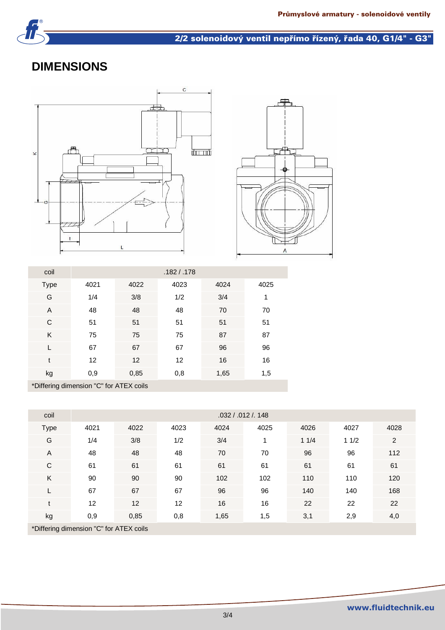

#### 2/2 solenoidový ventil nepřímo řízený, řada 40, G1/4" - G3"

# **DIMENSIONS**





| coil                    | .182 / .178               |                                  |      |      |      |  |  |  |  |
|-------------------------|---------------------------|----------------------------------|------|------|------|--|--|--|--|
| <b>Type</b>             | 4021                      | 4022                             | 4023 | 4024 | 4025 |  |  |  |  |
| G                       | 1/4                       | 3/8                              | 1/2  | 3/4  | 1    |  |  |  |  |
| A                       | 48                        | 48                               | 48   | 70   | 70   |  |  |  |  |
| C                       | 51                        | 51                               | 51   | 51   | 51   |  |  |  |  |
| K                       | 75                        | 75                               | 75   | 87   | 87   |  |  |  |  |
|                         | 67                        | 67                               | 67   | 96   | 96   |  |  |  |  |
| t                       | 12                        | 12                               | 12   | 16   | 16   |  |  |  |  |
| kg                      | 0,9                       | 0,85                             | 0,8  | 1,65 | 1,5  |  |  |  |  |
| $\mathbf{r}$<br>$+ - -$ | $\bullet$<br>$\mathbf{u}$ | $\sim$ $ \sim$ $\sim$<br>$\cdot$ |      |      |      |  |  |  |  |

\*Differing dimension "C" for ATEX coils

| coil                                    | .032 / .012 / .148 |      |      |      |      |      |      |      |  |  |
|-----------------------------------------|--------------------|------|------|------|------|------|------|------|--|--|
| <b>Type</b>                             | 4021               | 4022 | 4023 | 4024 | 4025 | 4026 | 4027 | 4028 |  |  |
| G                                       | 1/4                | 3/8  | 1/2  | 3/4  | 1    | 11/4 | 11/2 | 2    |  |  |
| $\mathsf{A}$                            | 48                 | 48   | 48   | 70   | 70   | 96   | 96   | 112  |  |  |
| C                                       | 61                 | 61   | 61   | 61   | 61   | 61   | 61   | 61   |  |  |
| K                                       | 90                 | 90   | 90   | 102  | 102  | 110  | 110  | 120  |  |  |
|                                         | 67                 | 67   | 67   | 96   | 96   | 140  | 140  | 168  |  |  |
| $\mathbf{f}$                            | 12                 | 12   | 12   | 16   | 16   | 22   | 22   | 22   |  |  |
| kg                                      | 0,9                | 0,85 | 0,8  | 1,65 | 1,5  | 3,1  | 2,9  | 4,0  |  |  |
| *Differing dimension "C" for ATEY coils |                    |      |      |      |      |      |      |      |  |  |